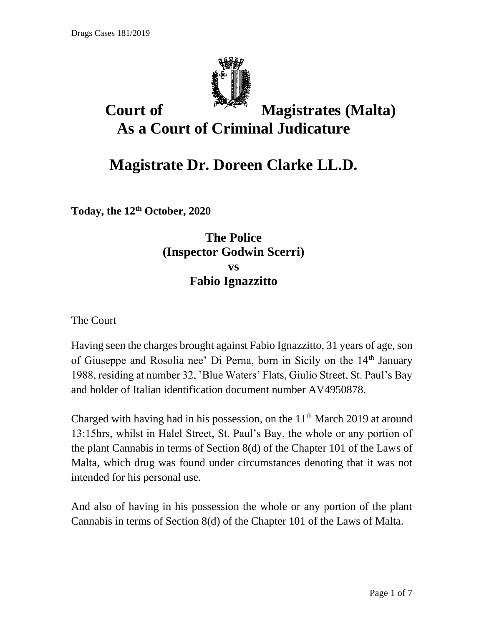

## **Court of Magistrates (Malta) As a Court of Criminal Judicature**

## **Magistrate Dr. Doreen Clarke LL.D.**

**Today, the 12th October, 2020**

## **The Police (Inspector Godwin Scerri) vs Fabio Ignazzitto**

The Court

Having seen the charges brought against Fabio Ignazzitto, 31 years of age, son of Giuseppe and Rosolia nee' Di Perna, born in Sicily on the 14<sup>th</sup> January 1988, residing at number 32, 'Blue Waters' Flats, Giulio Street, St. Paul's Bay and holder of Italian identification document number AV4950878.

Charged with having had in his possession, on the  $11<sup>th</sup>$  March 2019 at around 13:15hrs, whilst in Halel Street, St. Paul's Bay, the whole or any portion of the plant Cannabis in terms of Section 8(d) of the Chapter 101 of the Laws of Malta, which drug was found under circumstances denoting that it was not intended for his personal use.

And also of having in his possession the whole or any portion of the plant Cannabis in terms of Section 8(d) of the Chapter 101 of the Laws of Malta.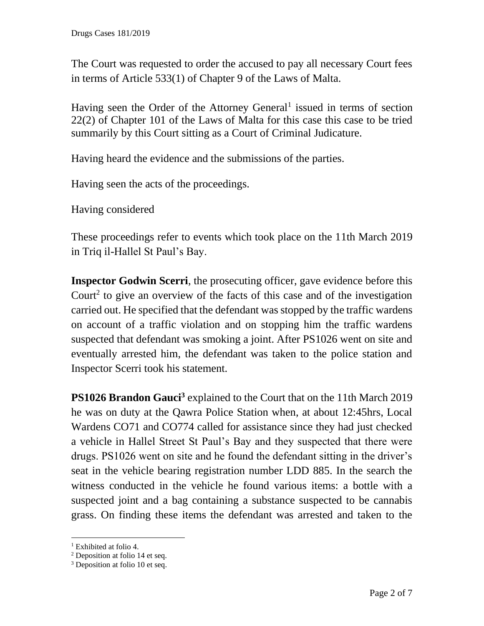The Court was requested to order the accused to pay all necessary Court fees in terms of Article 533(1) of Chapter 9 of the Laws of Malta.

Having seen the Order of the Attorney General<sup>1</sup> issued in terms of section 22(2) of Chapter 101 of the Laws of Malta for this case this case to be tried summarily by this Court sitting as a Court of Criminal Judicature.

Having heard the evidence and the submissions of the parties.

Having seen the acts of the proceedings.

Having considered

These proceedings refer to events which took place on the 11th March 2019 in Triq il-Hallel St Paul's Bay.

**Inspector Godwin Scerri**, the prosecuting officer, gave evidence before this Court<sup>2</sup> to give an overview of the facts of this case and of the investigation carried out. He specified that the defendant was stopped by the traffic wardens on account of a traffic violation and on stopping him the traffic wardens suspected that defendant was smoking a joint. After PS1026 went on site and eventually arrested him, the defendant was taken to the police station and Inspector Scerri took his statement.

**PS1026 Brandon Gauci<sup>3</sup>** explained to the Court that on the 11th March 2019 he was on duty at the Qawra Police Station when, at about 12:45hrs, Local Wardens CO71 and CO774 called for assistance since they had just checked a vehicle in Hallel Street St Paul's Bay and they suspected that there were drugs. PS1026 went on site and he found the defendant sitting in the driver's seat in the vehicle bearing registration number LDD 885. In the search the witness conducted in the vehicle he found various items: a bottle with a suspected joint and a bag containing a substance suspected to be cannabis grass. On finding these items the defendant was arrested and taken to the

<sup>&</sup>lt;sup>1</sup> Exhibited at folio 4.

 $2$  Deposition at folio 14 et seq.

<sup>&</sup>lt;sup>3</sup> Deposition at folio 10 et seq.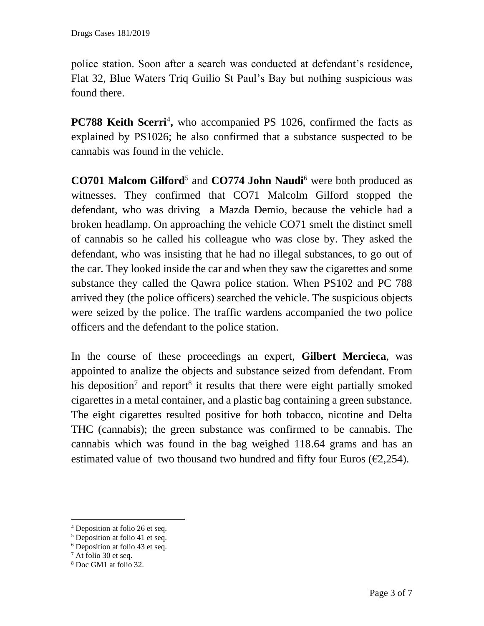police station. Soon after a search was conducted at defendant's residence, Flat 32, Blue Waters Triq Guilio St Paul's Bay but nothing suspicious was found there.

**PC788 Keith Scerri<sup>4</sup>**, who accompanied PS 1026, confirmed the facts as explained by PS1026; he also confirmed that a substance suspected to be cannabis was found in the vehicle.

**CO701 Malcom Gilford**<sup>5</sup> and **CO774 John Naudi**<sup>6</sup> were both produced as witnesses. They confirmed that CO71 Malcolm Gilford stopped the defendant, who was driving a Mazda Demio, because the vehicle had a broken headlamp. On approaching the vehicle CO71 smelt the distinct smell of cannabis so he called his colleague who was close by. They asked the defendant, who was insisting that he had no illegal substances, to go out of the car. They looked inside the car and when they saw the cigarettes and some substance they called the Qawra police station. When PS102 and PC 788 arrived they (the police officers) searched the vehicle. The suspicious objects were seized by the police. The traffic wardens accompanied the two police officers and the defendant to the police station.

In the course of these proceedings an expert, **Gilbert Mercieca**, was appointed to analize the objects and substance seized from defendant. From his deposition<sup>7</sup> and report<sup>8</sup> it results that there were eight partially smoked cigarettes in a metal container, and a plastic bag containing a green substance. The eight cigarettes resulted positive for both tobacco, nicotine and Delta THC (cannabis); the green substance was confirmed to be cannabis. The cannabis which was found in the bag weighed 118.64 grams and has an estimated value of two thousand two hundred and fifty four Euros ( $\epsilon$ 2,254).

<sup>4</sup> Deposition at folio 26 et seq.

<sup>5</sup> Deposition at folio 41 et seq.

<sup>6</sup> Deposition at folio 43 et seq.

<sup>7</sup> At folio 30 et seq.

<sup>8</sup> Doc GM1 at folio 32.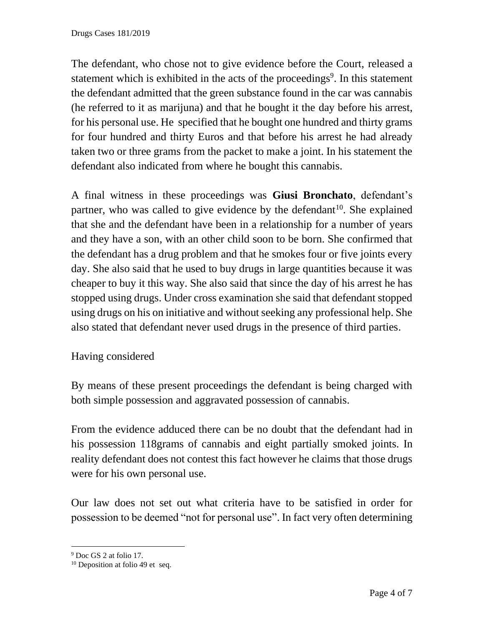The defendant, who chose not to give evidence before the Court, released a statement which is exhibited in the acts of the proceedings<sup>9</sup>. In this statement the defendant admitted that the green substance found in the car was cannabis (he referred to it as marijuna) and that he bought it the day before his arrest, for his personal use. He specified that he bought one hundred and thirty grams for four hundred and thirty Euros and that before his arrest he had already taken two or three grams from the packet to make a joint. In his statement the defendant also indicated from where he bought this cannabis.

A final witness in these proceedings was **Giusi Bronchato**, defendant's partner, who was called to give evidence by the defendant<sup>10</sup>. She explained that she and the defendant have been in a relationship for a number of years and they have a son, with an other child soon to be born. She confirmed that the defendant has a drug problem and that he smokes four or five joints every day. She also said that he used to buy drugs in large quantities because it was cheaper to buy it this way. She also said that since the day of his arrest he has stopped using drugs. Under cross examination she said that defendant stopped using drugs on his on initiative and without seeking any professional help. She also stated that defendant never used drugs in the presence of third parties.

## Having considered

By means of these present proceedings the defendant is being charged with both simple possession and aggravated possession of cannabis.

From the evidence adduced there can be no doubt that the defendant had in his possession 118grams of cannabis and eight partially smoked joints. In reality defendant does not contest this fact however he claims that those drugs were for his own personal use.

Our law does not set out what criteria have to be satisfied in order for possession to be deemed "not for personal use". In fact very often determining

<sup>&</sup>lt;sup>9</sup> Doc GS 2 at folio 17.

<sup>&</sup>lt;sup>10</sup> Deposition at folio 49 et seq.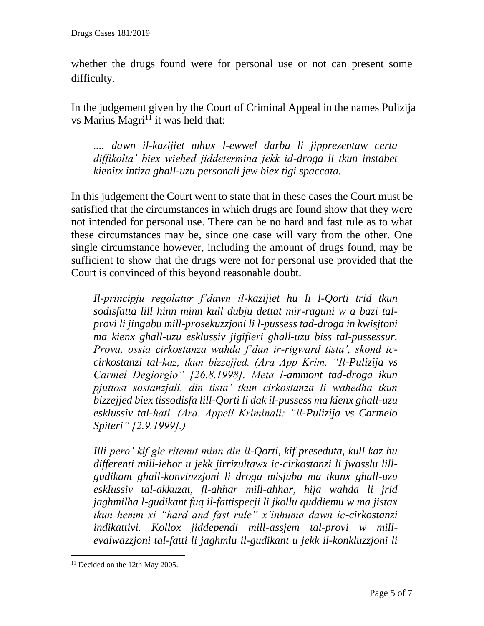whether the drugs found were for personal use or not can present some difficulty.

In the judgement given by the Court of Criminal Appeal in the names Pulizija vs Marius Magri<sup>11</sup> it was held that:

*.... dawn il-kazijiet mhux l-ewwel darba li jipprezentaw certa diffikolta' biex wiehed jiddetermina jekk id-droga li tkun instabet kienitx intiza ghall-uzu personali jew biex tigi spaccata.* 

In this judgement the Court went to state that in these cases the Court must be satisfied that the circumstances in which drugs are found show that they were not intended for personal use. There can be no hard and fast rule as to what these circumstances may be, since one case will vary from the other. One single circumstance however, including the amount of drugs found, may be sufficient to show that the drugs were not for personal use provided that the Court is convinced of this beyond reasonable doubt.

*Il-principju regolatur f'dawn il-kazijiet hu li l-Qorti trid tkun sodisfatta lill hinn minn kull dubju dettat mir-raguni w a bazi talprovi li jingabu mill-prosekuzzjoni li l-pussess tad-droga in kwisjtoni ma kienx ghall-uzu esklussiv jigifieri ghall-uzu biss tal-pussessur. Prova, ossia cirkostanza wahda f'dan ir-rigward tista', skond iccirkostanzi tal-kaz, tkun bizzejjed. (Ara App Krim. "Il-Pulizija vs Carmel Degiorgio" [26.8.1998]. Meta l-ammont tad-droga ikun pjuttost sostanzjali, din tista' tkun cirkostanza li wahedha tkun bizzejjed biex tissodisfa lill-Qorti li dak il-pussess ma kienx ghall-uzu esklussiv tal-hati. (Ara. Appell Kriminali: "il-Pulizija vs Carmelo Spiteri" [2.9.1999].)* 

*Illi pero' kif gie ritenut minn din il-Qorti, kif preseduta, kull kaz hu differenti mill-iehor u jekk jirrizultawx ic-cirkostanzi li jwasslu lillgudikant ghall-konvinzzjoni li droga misjuba ma tkunx ghall-uzu esklussiv tal-akkuzat, fl-ahhar mill-ahhar, hija wahda li jrid jaghmilha l-gudikant fuq il-fattispecji li jkollu quddiemu w ma jistax ikun hemm xi "hard and fast rule" x'inhuma dawn ic-cirkostanzi indikattivi. Kollox jiddependi mill-assjem tal-provi w millevalwazzjoni tal-fatti li jaghmlu il-gudikant u jekk il-konkluzzjoni li* 

<sup>&</sup>lt;sup>11</sup> Decided on the 12th May 2005.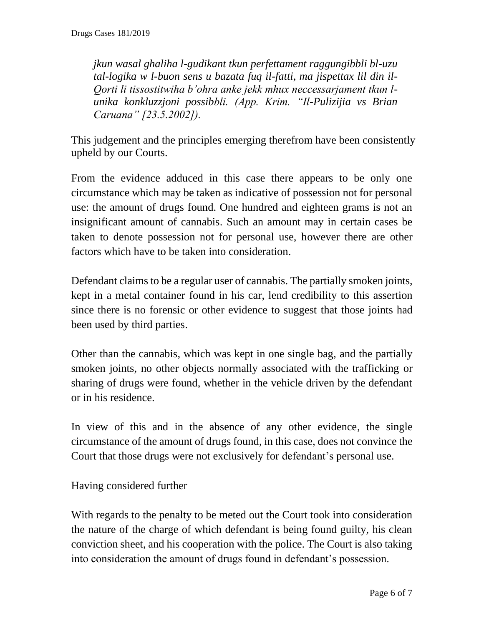*jkun wasal ghaliha l-gudikant tkun perfettament raggungibbli bl-uzu tal-logika w l-buon sens u bazata fuq il-fatti, ma jispettax lil din il-Qorti li tissostitwiha b'ohra anke jekk mhux neccessarjament tkun lunika konkluzzjoni possibbli. (App. Krim. "Il-Pulizijia vs Brian Caruana" [23.5.2002]).* 

This judgement and the principles emerging therefrom have been consistently upheld by our Courts.

From the evidence adduced in this case there appears to be only one circumstance which may be taken as indicative of possession not for personal use: the amount of drugs found. One hundred and eighteen grams is not an insignificant amount of cannabis. Such an amount may in certain cases be taken to denote possession not for personal use, however there are other factors which have to be taken into consideration.

Defendant claims to be a regular user of cannabis. The partially smoken joints, kept in a metal container found in his car, lend credibility to this assertion since there is no forensic or other evidence to suggest that those joints had been used by third parties.

Other than the cannabis, which was kept in one single bag, and the partially smoken joints, no other objects normally associated with the trafficking or sharing of drugs were found, whether in the vehicle driven by the defendant or in his residence.

In view of this and in the absence of any other evidence, the single circumstance of the amount of drugs found, in this case, does not convince the Court that those drugs were not exclusively for defendant's personal use.

Having considered further

With regards to the penalty to be meted out the Court took into consideration the nature of the charge of which defendant is being found guilty, his clean conviction sheet, and his cooperation with the police. The Court is also taking into consideration the amount of drugs found in defendant's possession.